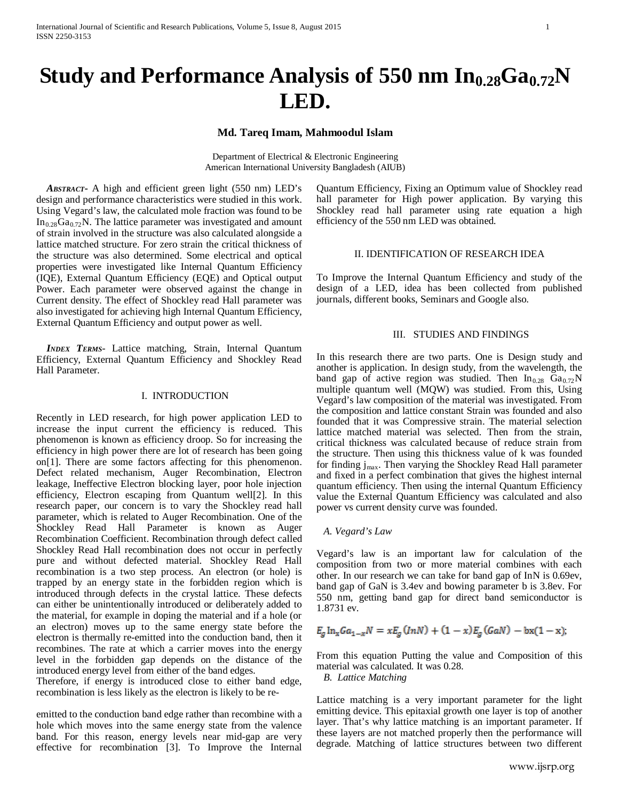# **Study and Performance Analysis of 550 nm In<sub>0.28</sub>Ga<sub>0.72</sub>N LED.**

## **Md. Tareq Imam, Mahmoodul Islam**

Department of Electrical & Electronic Engineering American International University Bangladesh (AIUB)

*ABSTRACT***-** A high and efficient green light (550 nm) LED's design and performance characteristics were studied in this work. Using Vegard's law, the calculated mole fraction was found to be  $In<sub>0.28</sub>Ga<sub>0.72</sub>N.$  The lattice parameter was investigated and amount of strain involved in the structure was also calculated alongside a lattice matched structure. For zero strain the critical thickness of the structure was also determined. Some electrical and optical properties were investigated like Internal Quantum Efficiency (IQE), External Quantum Efficiency (EQE) and Optical output Power. Each parameter were observed against the change in Current density. The effect of Shockley read Hall parameter was also investigated for achieving high Internal Quantum Efficiency, External Quantum Efficiency and output power as well.

*INDEX TERMS*- Lattice matching, Strain, Internal Quantum Efficiency, External Quantum Efficiency and Shockley Read Hall Parameter.

#### I. INTRODUCTION

Recently in LED research, for high power application LED to increase the input current the efficiency is reduced. This phenomenon is known as efficiency droop. So for increasing the efficiency in high power there are lot of research has been going on[1]. There are some factors affecting for this phenomenon. Defect related mechanism, Auger Recombination, Electron leakage, Ineffective Electron blocking layer, poor hole injection efficiency, Electron escaping from Quantum well[2]. In this research paper, our concern is to vary the Shockley read hall parameter, which is related to Auger Recombination. One of the Shockley Read Hall Parameter is known as Auger Recombination Coefficient. Recombination through defect called Shockley Read Hall recombination does not occur in perfectly pure and without defected material. Shockley Read Hall recombination is a two step process. An electron (or hole) is trapped by an energy state in the forbidden region which is introduced through defects in the crystal lattice. These defects can either be unintentionally introduced or deliberately added to the material, for example in doping the material and if a hole (or an electron) moves up to the same energy state before the electron is thermally re-emitted into the conduction band, then it recombines. The rate at which a carrier moves into the energy level in the forbidden gap depends on the distance of the introduced energy level from either of the band edges.

Therefore, if energy is introduced close to either band edge, recombination is less likely as the electron is likely to be re-

emitted to the conduction band edge rather than recombine with a hole which moves into the same energy state from the valence band. For this reason, energy levels near mid-gap are very effective for recombination [3]. To Improve the Internal

Quantum Efficiency, Fixing an Optimum value of Shockley read hall parameter for High power application. By varying this Shockley read hall parameter using rate equation a high efficiency of the 550 nm LED was obtained.

#### II. IDENTIFICATION OF RESEARCH IDEA

To Improve the Internal Quantum Efficiency and study of the design of a LED, idea has been collected from published journals, different books, Seminars and Google also.

## III. STUDIES AND FINDINGS

In this research there are two parts. One is Design study and another is application. In design study, from the wavelength, the band gap of active region was studied. Then  $In_{0.28}$   $Ga_{0.72}N$ multiple quantum well (MQW) was studied. From this, Using Vegard's law composition of the material was investigated. From the composition and lattice constant Strain was founded and also founded that it was Compressive strain. The material selection lattice matched material was selected. Then from the strain, critical thickness was calculated because of reduce strain from the structure. Then using this thickness value of k was founded for finding jmax. Then varying the Shockley Read Hall parameter and fixed in a perfect combination that gives the highest internal quantum efficiency. Then using the internal Quantum Efficiency value the External Quantum Efficiency was calculated and also power vs current density curve was founded.

### *A. Vegard's Law*

Vegard's law is an important law for calculation of the composition from two or more material combines with each other. In our research we can take for band gap of InN is 0.69ev, band gap of GaN is 3.4ev and bowing parameter b is 3.8ev. For 550 nm, getting band gap for direct band semiconductor is 1.8731 ev.

$$
E_g \ln_x Ga_{1-x}N = xE_g (lnN) + (1-x)E_g (GaN) - bx(1-x);
$$

From this equation Putting the value and Composition of this material was calculated. It was 0.28.

*B. Lattice Matching*

Lattice matching is a very important parameter for the light emitting device. This epitaxial growth one layer is top of another layer. That's why lattice matching is an important parameter. If these layers are not matched properly then the performance will degrade. Matching of lattice structures between two different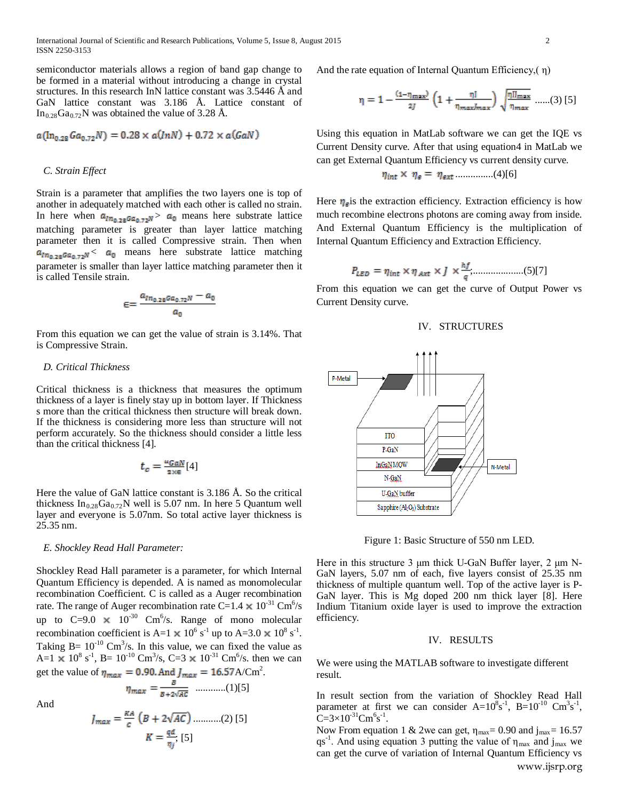semiconductor materials allows a region of band gap change to be formed in a material without introducing a change in crystal structures. In this research InN lattice constant was 3.5446 Å and GaN lattice constant was 3.186 Å. Lattice constant of  $In<sub>0.28</sub>Ga<sub>0.72</sub>N$  was obtained the value of 3.28 Å.

$$
a(\text{In}_{0.28}Ga_{0.72}N) = 0.28 \times a(\text{In}N) + 0.72 \times a(\text{Ga}N)
$$

#### *C. Strain Effect*

Strain is a parameter that amplifies the two layers one is top of another in adequately matched with each other is called no strain. In here when  $a_{\text{Im}_{0.28}Ga_{0.72}N} > a_0$  means here substrate lattice matching parameter is greater than layer lattice matching parameter then it is called Compressive strain. Then when  $a_{m_{0.28}\text{Gg}_{0.72}N}$  <  $a_0$  means here substrate lattice matching parameter is smaller than layer lattice matching parameter then it is called Tensile strain.

$$
\epsilon = \frac{a_{in_{0.28}Ga_{0.72}N} - a_0}{a_0}
$$

From this equation we can get the value of strain is 3.14%. That is Compressive Strain.

## *D. Critical Thickness*

Critical thickness is a thickness that measures the optimum thickness of a layer is finely stay up in bottom layer. If Thickness s more than the critical thickness then structure will break down. If the thickness is considering more less than structure will not perform accurately. So the thickness should consider a little less than the critical thickness [4].

$$
t_c = \frac{u_{\text{GAN}}}{2 \times e} [4]
$$

Here the value of GaN lattice constant is 3.186 Å. So the critical thickness  $In_{0.28}Ga_{0.72}N$  well is 5.07 nm. In here 5 Quantum well layer and everyone is 5.07nm. So total active layer thickness is 25.35 nm.

#### *E. Shockley Read Hall Parameter:*

Shockley Read Hall parameter is a parameter, for which Internal Quantum Efficiency is depended. A is named as monomolecular recombination Coefficient. C is called as a Auger recombination rate. The range of Auger recombination rate C=1.4  $\times$  10<sup>-31</sup> Cm<sup>6</sup>/s up to C=9.0  $\times$  10<sup>-30</sup> Cm<sup>6</sup>/s. Range of mono molecular recombination coefficient is A=1  $\times$  10<sup>6</sup> s<sup>-1</sup> up to A=3.0  $\times$  10<sup>8</sup> s<sup>-1</sup>. Taking  $B = 10^{-10}$  Cm<sup>3</sup>/s. In this value, we can fixed the value as A=1  $\times$  10<sup>8</sup> s<sup>-1</sup>, B= 10<sup>-10</sup> Cm<sup>3</sup>/s, C=3  $\times$  10<sup>-31</sup> Cm<sup>6</sup>/s. then we can get the value of  $\eta_{max} = 0.90$ . And  $J_{max} = 16.57$  A/Cm<sup>2</sup>.

And

$$
J_{max} = \frac{\kappa A}{c} \left( B + 2\sqrt{AC} \right) \dots \dots \dots \dots (2) [5]
$$

$$
K = \frac{qd}{\eta_j}; [5]
$$

............(1)[5]

And the rate equation of Internal Quantum Efficiency,  $(\eta)$ 

$$
\eta = 1 - \frac{(1 - \eta_{\text{max}})}{2J} \left( 1 + \frac{\eta I}{\eta_{\text{max}} J_{\text{max}}} \right) \sqrt{\frac{\eta I I_{\text{max}}}{\eta_{\text{max}}}} \dots \dots (3) \ [5]
$$

Using this equation in MatLab software we can get the IQE vs Current Density curve. After that using equation4 in MatLab we can get External Quantum Efficiency vs current density curve.

$$
\eta_{\text{int}} \times \eta_{\text{e}} = \eta_{\text{ext}} \dots \dots \dots \dots (4)[6]
$$

Here  $\eta_{\rm g}$  is the extraction efficiency. Extraction efficiency is how much recombine electrons photons are coming away from inside. And External Quantum Efficiency is the multiplication of Internal Quantum Efficiency and Extraction Efficiency.

;....................(5)[7]

From this equation we can get the curve of Output Power vs Current Density curve.

## IV. STRUCTURES



Figure 1: Basic Structure of 550 nm LED.

Here in this structure 3 μm thick U-GaN Buffer layer, 2 μm N-GaN layers, 5.07 nm of each, five layers consist of 25.35 nm thickness of multiple quantum well. Top of the active layer is P-GaN layer. This is Mg doped 200 nm thick layer [8]. Here Indium Titanium oxide layer is used to improve the extraction efficiency.

#### IV. RESULTS

We were using the MATLAB software to investigate different result.

In result section from the variation of Shockley Read Hall parameter at first we can consider  $A=10^8$ s<sup>-1</sup>,  $B=10^{-10}$  Cm<sup>3</sup>s<sup>-1</sup>,  $C = 3 \times 10^{-31}$ Cm<sup>6</sup>s<sup>-1</sup>.

Now From equation 1 & 2we can get,  $\eta_{\text{max}}$  = 0.90 and  $j_{\text{max}}$  = 16.57 qs<sup>-1</sup>. And using equation 3 putting the value of  $\eta_{\text{max}}$  and  $j_{\text{max}}$  we can get the curve of variation of Internal Quantum Efficiency vs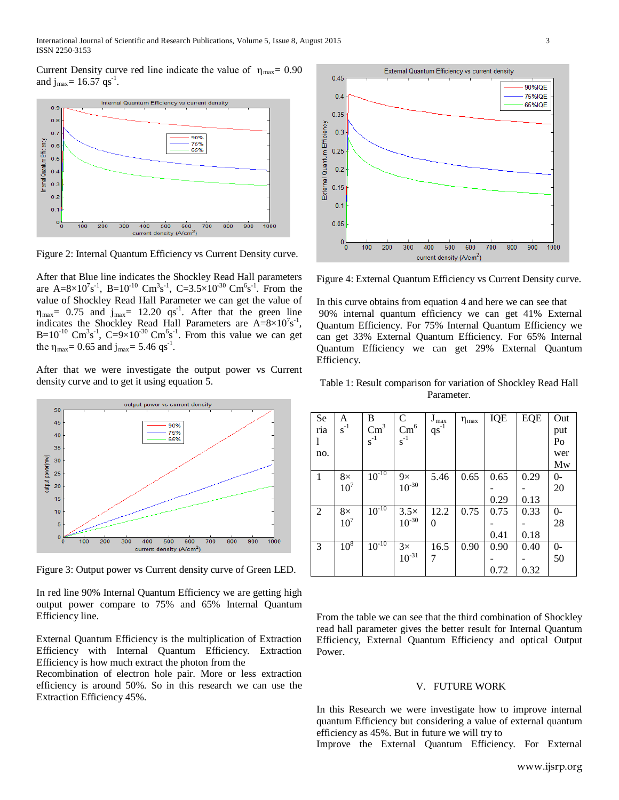Current Density curve red line indicate the value of  $\eta_{\text{max}} = 0.90$ and  $j_{\text{max}} = 16.57 \text{ qs}^{-1}$ .



Figure 2: Internal Quantum Efficiency vs Current Density curve.

After that Blue line indicates the Shockley Read Hall parameters are  $A=8\times10^7 s^{-1}$ ,  $B=10^{-10}$  Cm<sup>3</sup>s<sup>-1</sup>, C=3.5×10<sup>-30</sup> Cm<sup>6</sup>s<sup>-1</sup>. From the value of Shockley Read Hall Parameter we can get the value of  $\eta_{\text{max}}$  = 0.75 and  $j_{\text{max}}$  = 12.20 qs<sup>-1</sup>. After that the green line indicates the Shockley Read Hall Parameters are  $A=8\times10^{7}s^{-1}$ , B=10<sup>-10</sup> Cm<sup>3</sup>s<sup>-1</sup>, C=9×10<sup>-30</sup> Cm<sup>6</sup>s<sup>-1</sup>. From this value we can get the  $\eta_{\text{max}} = 0.65$  and  $j_{\text{max}} = 5.46$  qs<sup>-1</sup>.

After that we were investigate the output power vs Current density curve and to get it using equation 5.



Figure 3: Output power vs Current density curve of Green LED.

In red line 90% Internal Quantum Efficiency we are getting high output power compare to 75% and 65% Internal Quantum Efficiency line.

External Quantum Efficiency is the multiplication of Extraction Efficiency with Internal Quantum Efficiency. Extraction Efficiency is how much extract the photon from the

Recombination of electron hole pair. More or less extraction efficiency is around 50%. So in this research we can use the Extraction Efficiency 45%.



Figure 4: External Quantum Efficiency vs Current Density curve.

In this curve obtains from equation 4 and here we can see that 90% internal quantum efficiency we can get 41% External Quantum Efficiency. For 75% Internal Quantum Efficiency we can get 33% External Quantum Efficiency. For 65% Internal Quantum Efficiency we can get 29% External Quantum Efficiency.

Table 1: Result comparison for variation of Shockley Read Hall Parameter.

| Se<br>ria<br>1<br>no. | A<br>$s^{-1}$   | B<br>$\text{Cm}^3$<br>$\overline{s}^{-1}$ | $\mathcal{C}$<br>$\rm{Cm}^6$<br>$s^{-1}$ | $J_{max}$<br>qs <sup>-1</sup> | $\eta_{\text{max}}$ | IQE  | EQE  | Out<br>put<br>Po<br>wer |
|-----------------------|-----------------|-------------------------------------------|------------------------------------------|-------------------------------|---------------------|------|------|-------------------------|
|                       |                 |                                           |                                          |                               |                     |      |      | Mw                      |
| 1                     | $8\times$       | $10^{-10}$                                | $9\times$                                | 5.46                          | 0.65                | 0.65 | 0.29 | $0-$                    |
|                       | 10 <sup>7</sup> |                                           | $10^{-30}$                               |                               |                     |      |      | 20                      |
|                       |                 |                                           |                                          |                               |                     | 0.29 | 0.13 |                         |
| 2                     | $8\times$       | $10^{-10}$                                | $3.5\times$                              | 12.2                          | 0.75                | 0.75 | 0.33 | $0-$                    |
|                       | 10 <sup>7</sup> |                                           | $10^{-30}$                               | $\theta$                      |                     |      |      | 28                      |
|                       |                 |                                           |                                          |                               |                     | 0.41 | 0.18 |                         |
| 3                     | 10 <sup>8</sup> | $10^{-10}$                                | $\frac{3\times}{10^{31}}$                | 16.5                          | 0.90                | 0.90 | 0.40 | $0-$                    |
|                       |                 |                                           |                                          | 7                             |                     |      |      | 50                      |
|                       |                 |                                           |                                          |                               |                     | 0.72 | 0.32 |                         |

From the table we can see that the third combination of Shockley read hall parameter gives the better result for Internal Quantum Efficiency, External Quantum Efficiency and optical Output Power.

#### V. FUTURE WORK

In this Research we were investigate how to improve internal quantum Efficiency but considering a value of external quantum efficiency as 45%. But in future we will try to

Improve the External Quantum Efficiency. For External